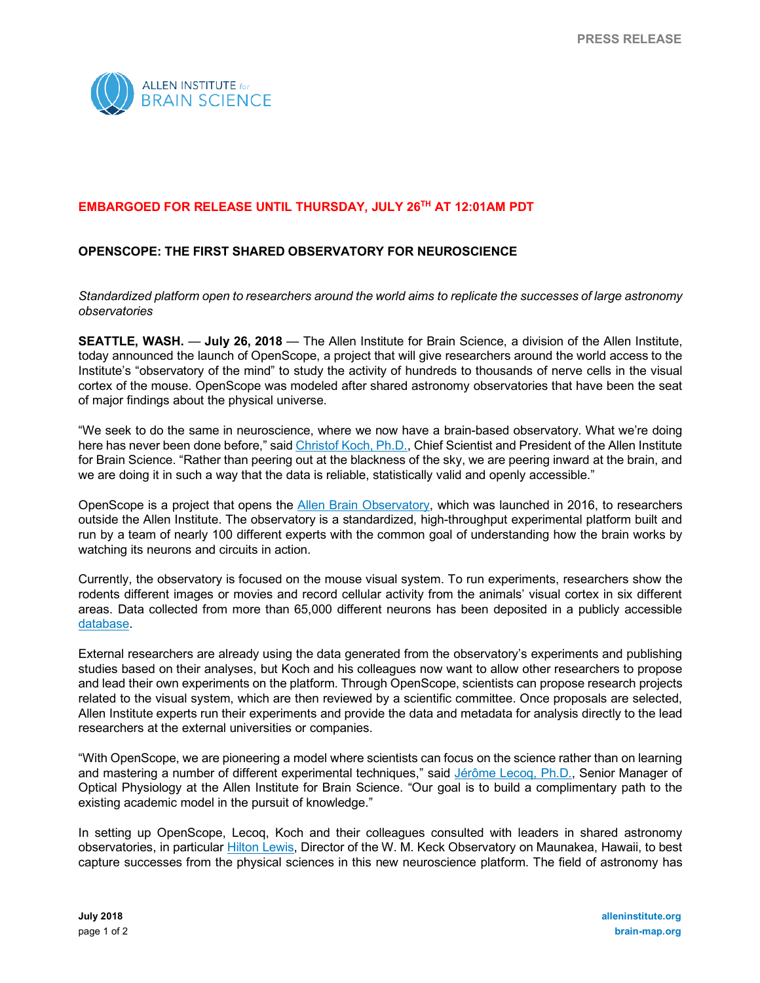

## **EMBARGOED FOR RELEASE UNTIL THURSDAY, JULY 26TH AT 12:01AM PDT**

## **OPENSCOPE: THE FIRST SHARED OBSERVATORY FOR NEUROSCIENCE**

*Standardized platform open to researchers around the world aims to replicate the successes of large astronomy observatories*

**SEATTLE, WASH.** — **July 26, 2018** — The Allen Institute for Brain Science, a division of the Allen Institute, today announced the launch of OpenScope, a project that will give researchers around the world access to the Institute's "observatory of the mind" to study the activity of hundreds to thousands of nerve cells in the visual cortex of the mouse. OpenScope was modeled after shared astronomy observatories that have been the seat of major findings about the physical universe.

"We seek to do the same in neuroscience, where we now have a brain-based observatory. What we're doing here has never been done before," said Christof Koch, Ph.D., Chief Scientist and President of the Allen Institute for Brain Science. "Rather than peering out at the blackness of the sky, we are peering inward at the brain, and we are doing it in such a way that the data is reliable, statistically valid and openly accessible."

OpenScope is a project that opens the Allen Brain Observatory, which was launched in 2016, to researchers outside the Allen Institute. The observatory is a standardized, high-throughput experimental platform built and run by a team of nearly 100 different experts with the common goal of understanding how the brain works by watching its neurons and circuits in action.

Currently, the observatory is focused on the mouse visual system. To run experiments, researchers show the rodents different images or movies and record cellular activity from the animals' visual cortex in six different areas. Data collected from more than 65,000 different neurons has been deposited in a publicly accessible database.

External researchers are already using the data generated from the observatory's experiments and publishing studies based on their analyses, but Koch and his colleagues now want to allow other researchers to propose and lead their own experiments on the platform. Through OpenScope, scientists can propose research projects related to the visual system, which are then reviewed by a scientific committee. Once proposals are selected, Allen Institute experts run their experiments and provide the data and metadata for analysis directly to the lead researchers at the external universities or companies.

"With OpenScope, we are pioneering a model where scientists can focus on the science rather than on learning and mastering a number of different experimental techniques," said Jérôme Lecoq, Ph.D., Senior Manager of Optical Physiology at the Allen Institute for Brain Science. "Our goal is to build a complimentary path to the existing academic model in the pursuit of knowledge."

In setting up OpenScope, Lecoq, Koch and their colleagues consulted with leaders in shared astronomy observatories, in particular Hilton Lewis, Director of the W. M. Keck Observatory on Maunakea, Hawaii, to best capture successes from the physical sciences in this new neuroscience platform. The field of astronomy has